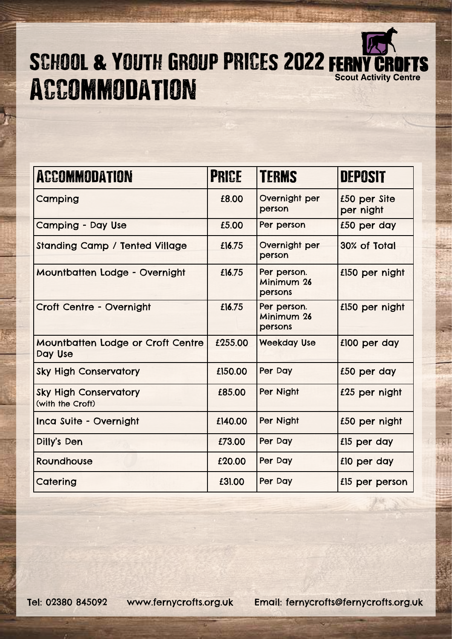

## SCHOOL & YOUTH GROUP PRICES 2022 FERN **ACCOMMODATION**

| <b>ACCOMMODATION</b>                             | <b>PRICE</b> | <b>TERMS</b>                         | <b>DEPOSIT</b>            |
|--------------------------------------------------|--------------|--------------------------------------|---------------------------|
| Camping                                          | £8.00        | Overnight per<br>person              | £50 per Site<br>per night |
| Camping - Day Use                                | £5.00        | Per person                           | £50 per day               |
| <b>Standing Camp / Tented Village</b>            | £16.75       | Overnight per<br>person              | 30% of Total              |
| Mountbatten Lodge - Overnight                    | £16.75       | Per person.<br>Minimum 26<br>persons | £150 per night            |
| <b>Croft Centre - Overnight</b>                  | £16.75       | Per person.<br>Minimum 26<br>persons | £150 per night            |
| Mountbatten Lodge or Croft Centre<br>Day Use     | £255.00      | <b>Weekday Use</b>                   | £100 per day              |
| <b>Sky High Conservatory</b>                     | £150.00      | Per Day                              | £50 per day               |
| <b>Sky High Conservatory</b><br>(with the Croft) | £85.00       | Per Night                            | £25 per night             |
| Inca Suite - Overnight                           | £140.00      | Per Night                            | £50 per night             |
| Dilly's Den                                      | £73.00       | Per Day                              | £15 per day               |
| Roundhouse                                       | £20.00       | Per Day                              | £10 per day               |
| Catering                                         | £31.00       | Per Day                              | £15 per person            |